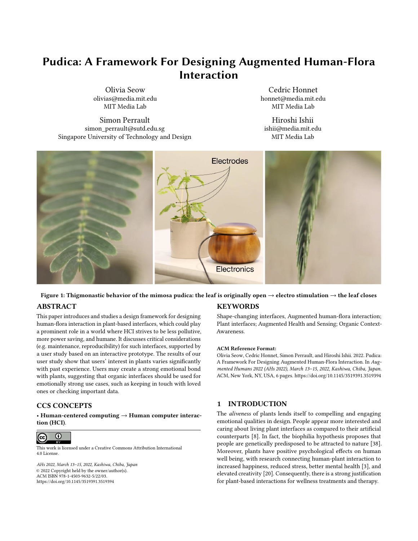# Pudica: A Framework For Designing Augmented Human-Flora **Interaction**

Olivia Seow olivias@media.mit.edu MIT Media Lab

Cedric Honnet honnet@media.mit.edu MIT Media Lab

Simon Perrault simon\_perrault@sutd.edu.sg Singapore University of Technology and Design

Hiroshi Ishii ishii@media.mit.edu MIT Media Lab

<span id="page-0-0"></span>

#### Figure 1: Thigmonastic behavior of the mimosa pudica: the leaf is originally open  $\to$  electro stimulation  $\to$  the leaf closes ABSTRACT **KEYWORDS**

This paper introduces and studies a design framework for designing human-flora interaction in plant-based interfaces, which could play a prominent role in a world where HCI strives to be less pollutive, more power saving, and humane. It discusses critical considerations (e.g. maintenance, reproducibility) for such interfaces, supported by a user study based on an interactive prototype. The results of our user study show that users' interest in plants varies significantly with past experience. Users may create a strong emotional bond with plants, suggesting that organic interfaces should be used for emotionally strong use cases, such as keeping in touch with loved ones or checking important data.

# CCS CONCEPTS

• Human-centered computing → Human computer interaction (HCI).



This work is licensed under a [Creative Commons Attribution International](https://creativecommons.org/licenses/by/4.0/) [4.0 License.](https://creativecommons.org/licenses/by/4.0/)

AHs 2022, March 13–15, 2022, Kashiwa, Chiba, Japan © 2022 Copyright held by the owner/author(s). ACM ISBN 978-1-4503-9632-5/22/03. <https://doi.org/10.1145/3519391.3519394>

Shape-changing interfaces, Augmented human-flora interaction; Plant interfaces; Augmented Health and Sensing; Organic Context-Awareness.

#### ACM Reference Format:

Olivia Seow, Cedric Honnet, Simon Perrault, and Hiroshi Ishii. 2022. Pudica: A Framework For Designing Augmented Human-Flora Interaction. In Augmented Humans 2022 (AHs 2022), March 13–15, 2022, Kashiwa, Chiba, Japan. ACM, New York, NY, USA, [6](#page-5-0) pages.<https://doi.org/10.1145/3519391.3519394>

# 1 INTRODUCTION

The aliveness of plants lends itself to compelling and engaging emotional qualities in design. People appear more interested and caring about living plant interfaces as compared to their artificial counterparts [\[8\]](#page-5-1). In fact, the biophilia hypothesis proposes that people are genetically predisposed to be attracted to nature [\[38\]](#page-5-2). Moreover, plants have positive psychological effects on human well being, with research connecting human-plant interaction to increased happiness, reduced stress, better mental health [\[3\]](#page-4-0), and elevated creativity [\[20\]](#page-5-3). Consequently, there is a strong justification for plant-based interactions for wellness treatments and therapy.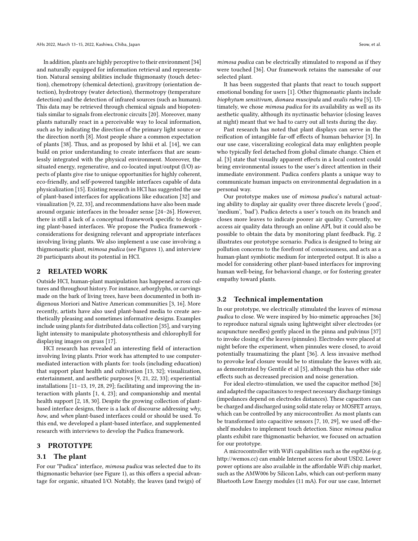In addition, plants are highly perceptive to their environment [\[34\]](#page-5-4) and naturally equipped for information retrieval and representation. Natural sensing abilities include thigmonasty (touch detection), chemotropy (chemical detection), gravitropy (orientation detection), hydrotropy (water detection), thermotropy (temperature detection) and the detection of infrared sources (such as humans). This data may be retrieved through chemical signals and biopotentials similar to signals from electronic circuits [\[20\]](#page-5-3). Moreover, many plants naturally react in a perceivable way to local information, such as by indicating the direction of the primary light source or the direction north [\[8\]](#page-5-1). Most people share a common expectation of plants [\[38\]](#page-5-2). Thus, and as proposed by Ishii et al. [\[14\]](#page-5-5), we can build on prior understanding to create interfaces that are seamlessly integrated with the physical environment. Moreover, the situated energy, regenerative, and co-located input/output (I/O) aspects of plants give rise to unique opportunities for highly coherent, eco-friendly, and self-powered tangible interfaces capable of data physicalization [\[15\]](#page-5-6). Existing research in HCI has suggested the use of plant-based interfaces for applications like education [\[32\]](#page-5-7) and visualization [\[9,](#page-5-8) [22,](#page-5-9) [33\]](#page-5-10), and recommendations have also been made around organic interfaces in the broader sense [\[24](#page-5-11)[–26\]](#page-5-12). However, there is still a lack of a conceptual framework specific to designing plant-based interfaces. We propose the Pudica framework considerations for designing relevant and appropriate interfaces involving living plants. We also implement a use case involving a thigmonastic plant, mimosa pudica (see Figures [1\)](#page-0-0), and interview 20 participants about its potential in HCI.

#### 2 RELATED WORK

Outside HCI, human-plant manipulation has happened across cultures and throughout history. For instance, arborglyphs, or carvings made on the bark of living trees, have been documented in both indigenous Moriori and Native American communities [\[3,](#page-4-0) [16\]](#page-5-13). More recently, artists have also used plant-based media to create aesthetically pleasing and sometimes informative designs. Examples include using plants for distributed data collection [\[35\]](#page-5-14), and varying light intensity to manipulate photosynthesis and chlorophyll for displaying images on grass [\[17\]](#page-5-15).

HCI research has revealed an interesting field of interaction involving living plants. Prior work has attempted to use computermediated interaction with plants for: tools (including education) that support plant health and cultivation [\[13,](#page-5-16) [32\]](#page-5-7); visualization, entertainment, and aesthetic purposes [\[9,](#page-5-8) [21,](#page-5-17) [22,](#page-5-9) [33\]](#page-5-10); experiential installations [\[11](#page-5-18)[–13,](#page-5-16) [19,](#page-5-19) [28,](#page-5-20) [29\]](#page-5-21); facilitating and improving the interaction with plants [\[1,](#page-4-1) [4,](#page-4-2) [23\]](#page-5-22); and companionship and mental health support [\[2,](#page-4-3) [18,](#page-5-23) [30\]](#page-5-24). Despite the growing collection of plantbased interface designs, there is a lack of discourse addressing why, how, and when plant-based interfaces could or should be used. To this end, we developed a plant-based interface, and supplemented research with interviews to develop the Pudica framework.

# 3 PROTOTYPE

#### 3.1 The plant

For our "Pudica" interface, mimosa pudica was selected due to its thigmonastic behavior (see Figure [1\)](#page-0-0), as this offers a special advantage for organic, situated I/O. Notably, the leaves (and twigs) of

mimosa pudica can be electrically stimulated to respond as if they were touched [\[36\]](#page-5-25). Our framework retains the namesake of our selected plant.

It has been suggested that plants that react to touch support emotional bonding for users [\[1\]](#page-4-1). Other thigmonastic plants include biophytum sensitivum, dionaea muscipula and oxalis rubra [\[5\]](#page-4-4). Ultimately, we chose mimosa pudica for its availability as well as its aesthetic quality, although its nyctinastic behavior (closing leaves at night) meant that we had to carry out all tests during the day.

Past research has noted that plant displays can serve in the reification of intangible far-off effects of human behavior [\[3\]](#page-4-0). In our use case, visceralizing ecological data may enlighten people who typically feel detached from global climate change. Chien et al. [\[3\]](#page-4-0) state that visually apparent effects in a local context could bring environmental issues to the user's direct attention in their immediate environment. Pudica confers plants a unique way to communicate human impacts on environmental degradation in a personal way.

Our prototype makes use of mimosa pudica's natural actuating ability to display air quality over three discrete levels ('good', 'medium', 'bad'). Pudica detects a user's touch on its branch and closes more leaves to indicate poorer air quality. Currently, we access air quality data through an online API, but it could also be possible to obtain the data by monitoring plant feedback. Fig. [2](#page-2-0) illustrates our prototype scenario. Pudica is designed to bring air pollution concerns to the forefront of consciousness, and acts as a human-plant symbiotic medium for interpreted output. It is also a model for considering other plant-based interfaces for improving human well-being, for behavioral change, or for fostering greater empathy toward plants.

#### 3.2 Technical implementation

In our prototype, we electrically stimulated the leaves of mimosa pudica to close. We were inspired by bio-mimetic approaches [\[36\]](#page-5-25) to reproduce natural signals using lightweight silver electrodes (or acupuncture needles) gently placed in the pinna and pulvinus [\[37\]](#page-5-26) to invoke closing of the leaves (pinnules). Electrodes were placed at night before the experiment, when pinnules were closed, to avoid potentially traumatizing the plant [\[36\]](#page-5-25). A less invasive method to provoke leaf closure would be to stimulate the leaves with air, as demonstrated by Gentile et al [\[5\]](#page-4-4), although this has other side effects such as decreased precision and noise generation.

For ideal electro-stimulation, we used the capacitor method [\[36\]](#page-5-25) and adapted the capacitances to respect necessary discharge timings (impedances depend on electrodes distances). These capacitors can be charged and discharged using solid state relay or MOSFET arrays, which can be controlled by any microcontroller. As most plants can be transformed into capacitive sensors [\[7,](#page-5-27) [10,](#page-5-28) [29\]](#page-5-21), we used off-theshelf modules to implement touch detection. Since mimosa pudica plants exhibit rare thigmonastic behavior, we focused on actuation for our prototype.

A microcontroller with WiFi capabilities such as the esp8266 (e.g. [http://wemos.cc\)](http://wemos.cc) can enable Internet access for about USD2. Lower power options are also available in the affordable WiFi chip market, such as the AMW006 by Silicon Labs, which can out-perform many Bluetooth Low Energy modules (11 mA). For our use case, Internet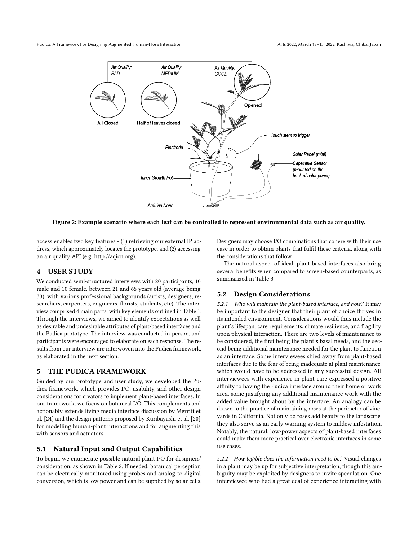<span id="page-2-0"></span>Pudica: A Framework For Designing Augmented Human-Flora Interaction AHS 2022, March 13-15, 2022, Kashiwa, Chiba, Japan



Figure 2: Example scenario where each leaf can be controlled to represent environmental data such as air quality.

access enables two key features - (1) retrieving our external IP address, which approximately locates the prototype, and (2) accessing an air quality API (e.g. [http://aqicn.org\)](http://aqicn.org).

# 4 USER STUDY

We conducted semi-structured interviews with 20 participants, 10 male and 10 female, between 21 and 65 years old (average being 33), with various professional backgrounds (artists, designers, researchers, carpenters, engineers, florists, students, etc). The interview comprised 4 main parts, with key elements outlined in Table [1.](#page-3-0) Through the interviews, we aimed to identify expectations as well as desirable and undesirable attributes of plant-based interfaces and the Pudica prototype. The interview was conducted in-person, and participants were encouraged to elaborate on each response. The results from our interview are interwoven into the Pudica framework, as elaborated in the next section.

# 5 THE PUDICA FRAMEWORK

Guided by our prototype and user study, we developed the Pudica framework, which provides I/O, usability, and other design considerations for creators to implement plant-based interfaces. In our framework, we focus on botanical I/O. This complements and actionably extends living media interface discussion by Merritt et al. [\[24\]](#page-5-11) and the design patterns proposed by Kuribayashi et al. [\[20\]](#page-5-3) for modelling human-plant interactions and for augmenting this with sensors and actuators.

#### 5.1 Natural Input and Output Capabilities

To begin, we enumerate possible natural plant I/O for designers' consideration, as shown in Table [2.](#page-3-1) If needed, botanical perception can be electrically monitored using probes and analog-to-digital conversion, which is low power and can be supplied by solar cells. Designers may choose I/O combinations that cohere with their use case in order to obtain plants that fulfil these criteria, along with the considerations that follow.

The natural aspect of ideal, plant-based interfaces also bring several benefits when compared to screen-based counterparts, as summarized in Table [3](#page-3-2)

# 5.2 Design Considerations

5.2.1 Who will maintain the plant-based interface, and how? It may be important to the designer that their plant of choice thrives in its intended environment. Considerations would thus include the plant's lifespan, care requirements, climate resilience, and fragility upon physical interaction. There are two levels of maintenance to be considered, the first being the plant's basal needs, and the second being additional maintenance needed for the plant to function as an interface. Some interviewees shied away from plant-based interfaces due to the fear of being inadequate at plant maintenance, which would have to be addressed in any successful design. All interviewees with experience in plant-care expressed a positive affinity to having the Pudica interface around their home or work area, some justifying any additional maintenance work with the added value brought about by the interface. An analogy can be drawn to the practice of maintaining roses at the perimeter of vineyards in California. Not only do roses add beauty to the landscape, they also serve as an early warning system to mildew infestation. Notably, the natural, low-power aspects of plant-based interfaces could make them more practical over electronic interfaces in some use cases.

5.2.2 How legible does the information need to be? Visual changes in a plant may be up for subjective interpretation, though this ambiguity may be exploited by designers to invite speculation. One interviewee who had a great deal of experience interacting with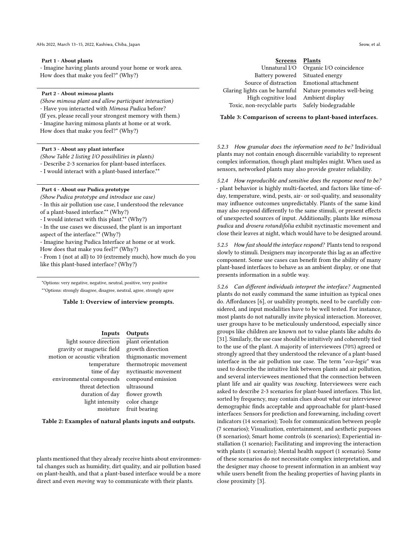#### <span id="page-3-0"></span>Part 1 - About plants

- Imagine having plants around your home or work area. How does that make you feel?\* (Why?)

#### Part 2 - About mimosa plants

(Show mimosa plant and allow participant interaction) - Have you interacted with Mimosa Pudica before? (If yes, please recall your strongest memory with them.) - Imagine having mimosa plants at home or at work. How does that make you feel?\* (Why?)

#### Part 3 - About any plant interface

(Show Table [2](#page-3-1) listing I/O possibilities in plants)

- Describe 2-3 scenarios for plant-based interfaces.

- I would interact with a plant-based interface.\*\*

#### Part 4 - About our Pudica prototype

(Show Pudica prototype and introduce use case) - In this air pollution use case, I understood the relevance

of a plant-based interface.\*\* (Why?)

- I would interact with this plant.\*\* (Why?)

- In the use cases we discussed, the plant is an important

aspect of the interface.\*\* (Why?)

- Imagine having Pudica Interface at home or at work.

How does that make you feel?\* (Why?)

- From 1 (not at all) to 10 (extremely much), how much do you like this plant-based interface? (Why?)

\*Options: very negative, negative, neutral, positive, very positive \*\*Options: strongly disagree, disagree, neutral, agree, strongly agree

Table 1: Overview of interview prompts.

#### Inputs Outputs

<span id="page-3-1"></span>light source direction plant orientation gravity or magnetic field growth direction motion or acoustic vibration thigmonastic movement environmental compounds compound emission threat detection ultrasound light intensity color change

temperature thermotropic movement time of day nyctinastic movement duration of day flower growth moisture fruit bearing

Table 2: Examples of natural plants inputs and outputs.

plants mentioned that they already receive hints about environmental changes such as humidity, dirt quality, and air pollution based on plant-health, and that a plant-based interface would be a more direct and even moving way to communicate with their plants.

<span id="page-3-2"></span>

| <b>Screens</b>                      | <b>Plants</b>                              |
|-------------------------------------|--------------------------------------------|
| Unnatural I/O                       | Organic I/O coincidence                    |
| Battery powered                     | Situated energy                            |
|                                     | Source of distraction Emotional attachment |
| Glaring lights can be harmful       | Nature promotes well-being                 |
| High cognitive load Ambient display |                                            |
| Toxic, non-recyclable parts         | Safely biodegradable                       |

Table 3: Comparison of screens to plant-based interfaces.

5.2.3 How granular does the information need to be? Individual plants may not contain enough discernible variability to represent complex information, though plant multiples might. When used as sensors, networked plants may also provide greater reliability.

5.2.4 How reproducible and sensitive does the response need to be? - plant behavior is highly multi-faceted, and factors like time-ofday, temperature, wind, pests, air- or soil-quality, and seasonality may influence outcomes unpredictably. Plants of the same kind may also respond differently to the same stimuli, or present effects of unexpected sources of input. Additionally, plants like mimosa pudica and drosera rotundifolia exhibit nyctinastic movement and close their leaves at night, which would have to be designed around.

5.2.5 How fast should the interface respond? Plants tend to respond slowly to stimuli. Designers may incorporate this lag as an affective component. Some use cases can benefit from the ability of many plant-based interfaces to behave as an ambient display, or one that presents information in a subtle way.

5.2.6 Can different individuals interpret the interface? Augmented plants do not easily command the same intuition as typical ones do. Affordances [\[6\]](#page-4-5), or usability prompts, need to be carefully considered, and input modalities have to be well tested. For instance, most plants do not naturally invite physical interaction. Moreover, user groups have to be meticulously understood, especially since groups like children are known not to value plants like adults do [\[31\]](#page-5-29). Similarly, the use case should be intuitively and coherently tied to the use of the plant. A majority of interviewees (70%) agreed or strongly agreed that they understood the relevance of a plant-based interface in the air pollution use case. The term "eco-logic" was used to describe the intuitive link between plants and air pollution, and several interviewees mentioned that the connection between plant life and air quality was touching. Interviewees were each asked to describe 2-3 scenarios for plant-based interfaces. This list, sorted by frequency, may contain clues about what our interviewee demographic finds acceptable and approachable for plant-based interfaces: Sensors for prediction and forewarning, including covert indicators (14 scenarios); Tools for communication between people (7 scenarios); Visualization, entertainment, and aesthetic purposes (8 scenarios); Smart home controls (6 scenarios); Experiential installation (1 scenario); Facilitating and improving the interaction with plants (1 scenario); Mental health support (1 scenario). Some of these scenarios do not necessitate complex interpretation, and the designer may choose to present information in an ambient way while users benefit from the healing properties of having plants in close proximity [\[3\]](#page-4-0).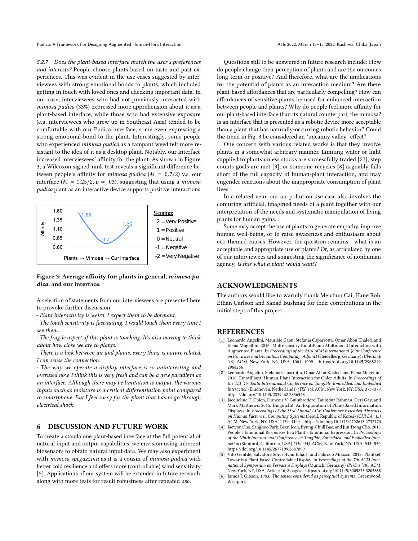Pudica: A Framework For Designing Augmented Human-Flora Interaction AHS 2022, March 13-15, 2022, Kashiwa, Chiba, Japan

5.2.7 Does the plant-based interface match the user's preferences and interests? People choose plants based on taste and past experiences. This was evident in the use cases suggested by interviewees with strong emotional bonds to plants, which included getting in touch with loved ones and checking important data. In our case, interviewees who had not previously interacted with mimosa pudica (33%) expressed more apprehension about it as a plant-based interface, while those who had extensive exposure (e.g. interviewees who grew up in Southeast Asia) tended to be comfortable with our Pudica interface, some even expressing a strong emotional bond to the plant. Interestingly, some people who experienced *mimosa pudica* as a rampant weed felt more resistant to the idea of it as a desktop plant. Notably, our interface increased interviewees' affinity for the plant. As shown in Figure [3,](#page-4-6) a Wilcoxon signed-rank test reveals a significant difference between people's affinity for *mimosa pudica* ( $M = 0.7/2$ ) v.s. our interface ( $M = 1.25/2$ ,  $p = .03$ ), suggesting that using a *mimosa* pudica plant as an interactive device supports positive interactions.

<span id="page-4-6"></span>

#### Figure 3: Average affinity for: plants in general, mimosa pudica, and our interface.

A selection of statements from our interviewees are presented here to provoke further discussion:

- Plant interactivity is weird. I expect them to be dormant.

- The touch sensitivity is fascinating. I would touch them every time I see them.

- The fragile aspect of this plant is touching. It's also moving to think about how close we are to plants.

- There is a link between air and plants, every thing is nature related, I can sense the connection.

- The way we operate a display interface is so uninteresting and overused now. I think this is very fresh and can be a new paradigm as an interface. Although there may be limitation to output, the various inputs such as moisture is a critical differentiation point compared to smartphone. But I feel sorry for the plant that has to go through electrical shock.

# 6 DISCUSSION AND FUTURE WORK

To create a standalone plant-based interface at the full potential of natural input and output capabilities, we envision using inherent biosensors to obtain natural input data. We may also experiment with mimosa spegazzinii as it is a cousin of mimosa pudica with better cold resilience and offers more (controllable) wind sensitivity [\[5\]](#page-4-4). Applications of our system will be extended in future research, along with more tests for result robustness after repeated use.

Questions still to be answered in future research include: How do people change their perception of plants and are the outcomes long-term or positive? And therefore, what are the implications for the potential of plants as an interaction medium? Are there plant-based affordances that are particularly compelling? How can affordances of sensitive plants be used for enhanced interaction between people and plants? Why do people feel more affinity for our plant-based interface than its natural counterpart, the mimosa? Is an interface that is presented as a robotic device more acceptable than a plant that has naturally-occurring robotic behavior? Could the trend in Fig. [3](#page-4-6) be considered an "uncanny valley" effect?

One concern with various related works is that they involve plants in a somewhat arbitrary manner. Limiting water or light supplied to plants unless stocks are successfully traded [\[27\]](#page-5-30), step counts goals are met [\[3\]](#page-4-0), or someone recycles [\[8\]](#page-5-1) arguably falls short of the full capacity of human-plant interaction, and may engender reactions about the inappropriate consumption of plant lives.

In a related vein, our air pollution use case also involves the conjuring artificial, imagined needs of a plant together with our interpretation of the needs and systematic manipulation of living plants for human gains.

Some may accept the use of plants to generate empathy, improve human well-being, or to raise awareness and enthusiasm about eco-themed causes. However, the question remains - what is an acceptable and appropriate use of plants? Or, as articulated by one of our interviewees and suggesting the significance of nonhuman agency, is this what a plant would want?

# ACKNOWLEDGMENTS

The authors would like to warmly thank Meichun Cai, Hane Roh, Ethan Carlson and Sanad Bushnaq for their contributions in the initial steps of this project.

#### REFERENCES

- <span id="page-4-1"></span>[1] Leonardo Angelini, Maurizio Caon, Stefania Caparrotta, Omar Abou Khaled, and Elena Mugellini. 2016. Multi-sensory EmotiPlant: Multimodal Interaction with Augmented Plants. In Proceedings of the 2016 ACM International Joint Conference on Pervasive and Ubiquitous Computing: Adjunct (Heidelberg, Germany) (UbiComp '16). ACM, New York, NY, USA, 1001–1009. [https://doi.org/10.1145/2968219.](https://doi.org/10.1145/2968219.2968266) [2968266](https://doi.org/10.1145/2968219.2968266)
- <span id="page-4-3"></span>[2] Leonardo Angelini, Stefania Caparrotta, Omar Abou Khaled, and Elena Mugellini. 2016. EmotiPlant: Human-Plant Interaction for Older Adults. In Proceedings of the TEI '16: Tenth International Conference on Tangible, Embedded, and Embodied Interaction (Eindhoven, Netherlands) (TEI '16). ACM, New York, NY, USA, 373–379. <https://doi.org/10.1145/2839462.2856548>
- <span id="page-4-0"></span>[3] Jacqueline T. Chien, François V. Guimbretière, Tauhidur Rahman, Geri Gay, and Mark Matthews. 2015. Biogotchi!: An Exploration of Plant-Based Information Displays. In Proceedings of the 33rd Annual ACM Conference Extended Abstracts on Human Factors in Computing Systems (Seoul, Republic of Korea) (CHI EA '15). ACM, New York, NY, USA, 1139–1144.<https://doi.org/10.1145/2702613.2732770>
- <span id="page-4-2"></span>[4] Jaewon Cho, Sanghoo Park, Been Jeon, Byung-Chull Bae, and Jun-Dong Cho. 2015. People's Emotional Responses to a Plant's Emotional Expression. In Proceedings of the Ninth International Conference on Tangible, Embedded, and Embodied Interaction (Stanford, California, USA) (TEI '15). ACM, New York, NY, USA, 545–550. <https://doi.org/10.1145/2677199.2687899>
- <span id="page-4-4"></span>Vito Gentile, Salvatore Sorce, Ivan Elhart, and Fabrizio Milazzo. 2018. Plantxel: Towards a Plant-based Controllable Display. In Proceedings of the 7th ACM International Symposium on Pervasive Displays (Munich, Germany) (PerDis '18). ACM, New York, NY, USA, Article 16, 8 pages.<https://doi.org/10.1145/3205873.3205888>
- <span id="page-4-5"></span>[6] James J. Gibson. 1983. The senses considered as perceptual systems. Greenwood, Westport.